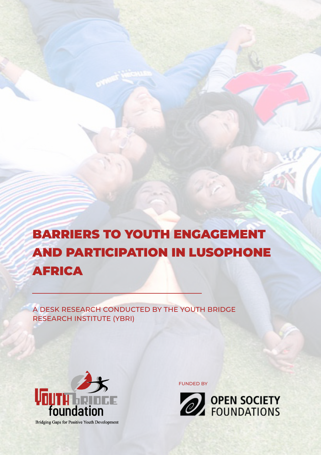# BARRIERS TO YOUTH ENGAGEMENT AND PARTICIPATION IN LUSOPHONE AFRICA

A DESK RESEARCH CONDUCTED BY THE YOUTH BRIDGE RESEARCH INSTITUTE (YBRI)



**Bridging Gaps for Positive Youth Development** 

FUNDED BY

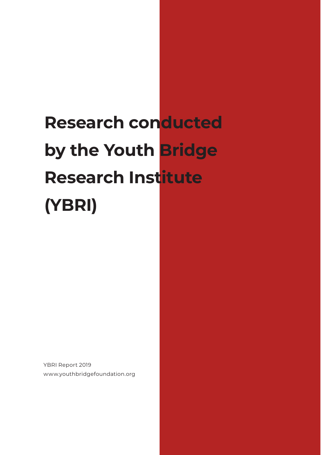# **Research conducted by the Youth Bridge Research Institute (YBRI)**

YBRI Report 2019 www.youthbridgefoundation.org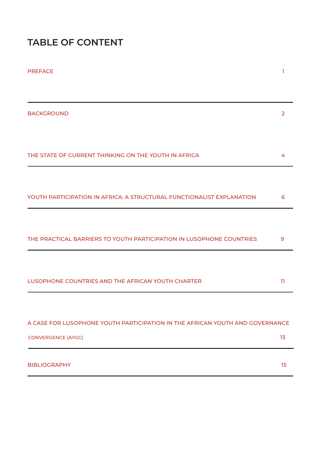# **TABLE OF CONTENT**

| <b>PREFACE</b>                                                               | ı                       |
|------------------------------------------------------------------------------|-------------------------|
|                                                                              |                         |
| <b>BACKGROUND</b>                                                            | 2                       |
|                                                                              |                         |
| THE STATE OF CURRENT THINKING ON THE YOUTH IN AFRICA                         | 4                       |
|                                                                              |                         |
| YOUTH PARTICIPATION IN AFRICA: A STRUCTURAL FUNCTIONALIST EXPLANATION        | 6                       |
|                                                                              |                         |
| THE PRACTICAL BARRIERS TO YOUTH PARTICIPATION IN LUSOPHONE COUNTRIES         | 9                       |
|                                                                              |                         |
| LUSOPHONE COUNTRIES AND THE AFRICAN YOUTH CHARTER                            | $\overline{\mathbf{1}}$ |
|                                                                              |                         |
| A CASE FOR LUSOPHONE YOUTH PARTICIPATION IN THE AFRICAN YOUTH AND GOVERNANCE |                         |
| <b>CONVERGENCE (AYGC)</b>                                                    | 13                      |
| <b>BIBLIOGRAPHY</b>                                                          | 15                      |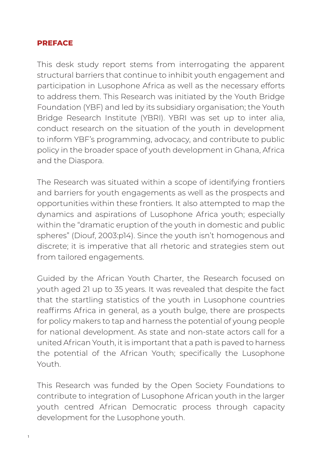#### **PREFACE**

This desk study report stems from interrogating the apparent structural barriers that continue to inhibit youth engagement and participation in Lusophone Africa as well as the necessary efforts to address them. This Research was initiated by the Youth Bridge Foundation (YBF) and led by its subsidiary organisation; the Youth Bridge Research Institute (YBRI). YBRI was set up to inter alia, conduct research on the situation of the youth in development to inform YBF's programming, advocacy, and contribute to public policy in the broader space of youth development in Ghana, Africa and the Diaspora.

The Research was situated within a scope of identifying frontiers and barriers for youth engagements as well as the prospects and opportunities within these frontiers. It also attempted to map the dynamics and aspirations of Lusophone Africa youth; especially within the "dramatic eruption of the youth in domestic and public spheres" (Diouf, 2003:p14). Since the youth isn't homogenous and discrete; it is imperative that all rhetoric and strategies stem out from tailored engagements.

Guided by the African Youth Charter, the Research focused on youth aged 21 up to 35 years. It was revealed that despite the fact that the startling statistics of the youth in Lusophone countries reaffirms Africa in general, as a youth bulge, there are prospects for policy makers to tap and harness the potential of young people for national development. As state and non-state actors call for a united African Youth, it is important that a path is paved to harness the potential of the African Youth; specifically the Lusophone Youth.

This Research was funded by the Open Society Foundations to contribute to integration of Lusophone African youth in the larger youth centred African Democratic process through capacity development for the Lusophone youth.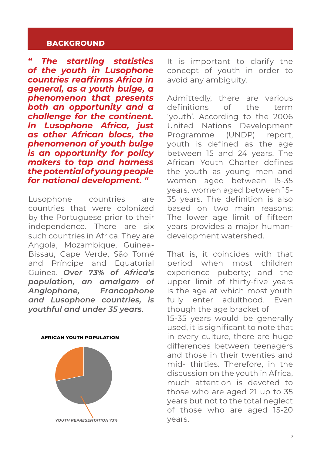#### **BACKGROUND**

*" The startling statistics of the youth in Lusophone countries reaffirms Africa in general, as a youth bulge, a phenomenon that presents both an opportunity and a challenge for the continent. In Lusophone Africa, just as other African blocs, the phenomenon of youth bulge is an opportunity for policy makers to tap and harness the potential of young people for national development. "*

Lusophone countries are countries that were colonized by the Portuguese prior to their independence. There are six such countries in Africa. They are Angola, Mozambique, Guinea-Bissau, Cape Verde, São Tomé and Príncipe and Equatorial Guinea. *Over 73% of Africa's population, an amalgam of Anglophone, Francophone and Lusophone countries, is youthful and under 35 years*.



It is important to clarify the concept of youth in order to avoid any ambiguity.

Admittedly, there are various definitions of the term 'youth'. According to the 2006 United Nations Development Programme (UNDP) report, youth is defined as the age between 15 and 24 years. The African Youth Charter defines the youth as young men and women aged between 15-35 years. women aged between 15- 35 years. The definition is also based on two main reasons: The lower age limit of fifteen years provides a major humandevelopment watershed.

That is, it coincides with that period when most children experience puberty; and the upper limit of thirty-five years is the age at which most youth fully enter adulthood. Even though the age bracket of

15-35 years would be generally used, it is significant to note that in every culture, there are huge differences between teenagers and those in their twenties and mid- thirties. Therefore, in the discussion on the youth in Africa, much attention is devoted to those who are aged 21 up to 35 years but not to the total neglect of those who are aged 15-20 years.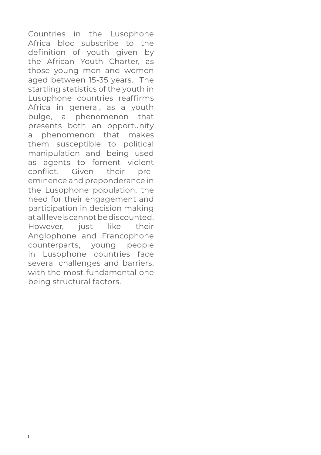Countries in the Lusophone Africa bloc subscribe to the definition of youth given by the African Youth Charter, as those young men and women aged between 15-35 years. The startling statistics of the youth in Lusophone countries reaffirms Africa in general, as a youth bulge, a phenomenon that presents both an opportunity a phenomenon that makes them susceptible to political manipulation and being used as agents to foment violent conflict. Given their preeminence and preponderance in the Lusophone population, the need for their engagement and participation in decision making at all levels cannot be discounted.<br>However, just like their However, just like their Anglophone and Francophone counterparts, young people in Lusophone countries face several challenges and barriers. with the most fundamental one being structural factors.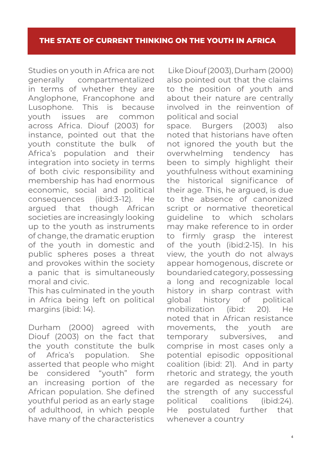Studies on youth in Africa are not generally compartmentalized in terms of whether they are Anglophone, Francophone and Lusophone. This is because youth issues are common across Africa. Diouf (2003) for instance, pointed out that the youth constitute the bulk of Africa's population and their integration into society in terms of both civic responsibility and membership has had enormous economic, social and political consequences (ibid:3-12). He argued that though African societies are increasingly looking up to the youth as instruments of change, the dramatic eruption of the youth in domestic and public spheres poses a threat and provokes within the society a panic that is simultaneously moral and civic.

This has culminated in the youth in Africa being left on political margins (ibid: 14).

Durham (2000) agreed with Diouf (2003) on the fact that the youth constitute the bulk of Africa's population. She asserted that people who might be considered "youth" form an increasing portion of the African population. She defined youthful period as an early stage of adulthood, in which people have many of the characteristics

 Like Diouf (2003), Durham (2000) also pointed out that the claims to the position of youth and about their nature are centrally involved in the reinvention of political and social space. Burgers (2003) also noted that historians have often not ignored the youth but the overwhelming tendency has been to simply highlight their youthfulness without examining the historical significance of their age. This, he argued, is due to the absence of canonized script or normative theoretical guideline to which scholars may make reference to in order to firmly grasp the interest of the youth (ibid:2-15). In his view, the youth do not always appear homogenous, discrete or boundaried category, possessing a long and recognizable local history in sharp contrast with global history of political mobilization (ibid: 20). He noted that in African resistance movements, the youth are temporary subversives, and comprise in most cases only a potential episodic oppositional coalition (ibid: 21). And in party rhetoric and strategy, the youth are regarded as necessary for the strength of any successful political coalitions (ibid:24). He postulated further that whenever a country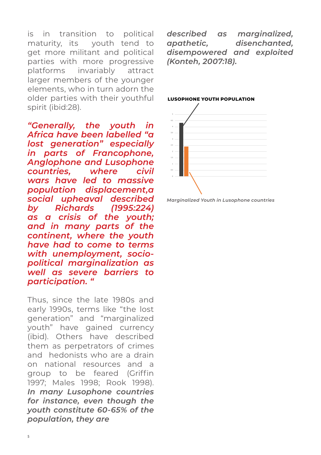is in transition to political maturity, its youth tend to get more militant and political parties with more progressive platforms invariably attract larger members of the younger elements, who in turn adorn the older parties with their youthful spirit (ibid:28).

*"Generally, the youth in Africa have been labelled "a lost generation" especially in parts of Francophone, Anglophone and Lusophone countries, where civil wars have led to massive population displacement,a social upheaval described by Richards (1995:224) as a crisis of the youth; and in many parts of the continent, where the youth have had to come to terms with unemployment, sociopolitical marginalization as well as severe barriers to participation. "*

Thus, since the late 1980s and early 1990s, terms like "the lost generation" and "marginalized youth" have gained currency (ibid). Others have described them as perpetrators of crimes and hedonists who are a drain on national resources and a group to be feared (Griffin 1997; Males 1998; Rook 1998). *In many Lusophone countries for instance, even though the youth constitute 60-65% of the population, they are*

*described as marginalized, apathetic, disenchanted, disempowered and exploited (Konteh, 2007:18).* 



#### **LUSOPHONE YOUTH POPULATION**

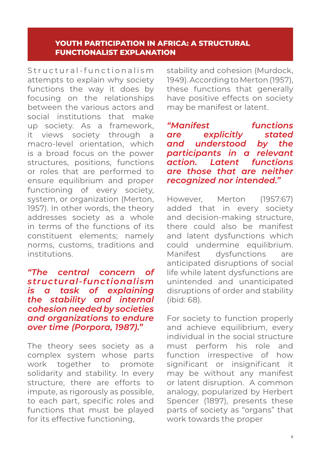#### **YOUTH PARTICIPATION IN AFRICA: A STRUCTURAL FUNCTIONALIST EXPLANATION**

Structural-functionalism attempts to explain why society functions the way it does by focusing on the relationships between the various actors and social institutions that make up society. As a framework, it views society through a macro-level orientation, which is a broad focus on the power structures, positions, functions or roles that are performed to ensure equilibrium and proper functioning of every society, system, or organization (Merton, 1957). In other words, the theory addresses society as a whole in terms of the functions of its constituent elements; namely norms, customs, traditions and institutions.

#### *"The central concern of structural-functionalism is a task of explaining the stability and internal cohesion needed by societies and organizations to endure over time (Porpora, 1987)."*

The theory sees society as a complex system whose parts work together to promote solidarity and stability. In every structure, there are efforts to impute, as rigorously as possible, to each part, specific roles and functions that must be played for its effective functioning,

stability and cohesion (Murdock, 1949). According to Merton (1957), these functions that generally have positive effects on society may be manifest or latent.

*"Manifest functions are explicitly stated and understood by the participants in a relevant action. Latent functions are those that are neither recognized nor intended."*

However, Merton (1957:67) added that in every society and decision-making structure, there could also be manifest and latent dysfunctions which could undermine equilibrium. Manifest dysfunctions are anticipated disruptions of social life while latent dysfunctions are unintended and unanticipated disruptions of order and stability (ibid: 68).

For society to function properly and achieve equilibrium, every individual in the social structure must perform his role and function irrespective of how significant or insignificant it may be without any manifest or latent disruption. A common analogy, popularized by Herbert Spencer (1897), presents these parts of society as "organs" that work towards the proper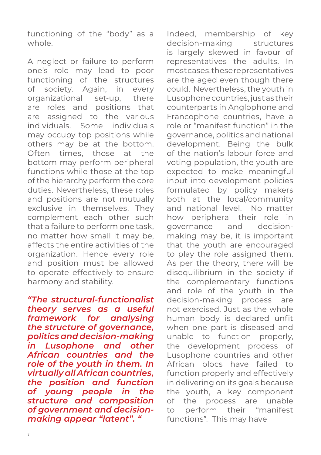functioning of the "body" as a whole.

A neglect or failure to perform one's role may lead to poor functioning of the structures of society. Again, in every organizational set-up, there are roles and positions that are assigned to the various individuals. Some individuals may occupy top positions while others may be at the bottom. Often times, those at the bottom may perform peripheral functions while those at the top of the hierarchy perform the core duties. Nevertheless, these roles and positions are not mutually exclusive in themselves. They complement each other such that a failure to perform one task, no matter how small it may be, affects the entire activities of the organization. Hence every role and position must be allowed to operate effectively to ensure harmony and stability.

*"The structural-functionalist theory serves as a useful framework for analysing the structure of governance, politics and decision-making in Lusophone and other African countries and the role of the youth in them. In virtually all African countries, the position and function of young people in the structure and composition of government and decisionmaking appear "latent". "*

Indeed, membership of key decision-making structures is largely skewed in favour of representatives the adults. In most cases, these representatives are the aged even though there could. Nevertheless, the youth in Lusophone countries, just as their counterparts in Anglophone and Francophone countries, have a role or "manifest function" in the governance, politics and national development. Being the bulk of the nation's labour force and voting population, the youth are expected to make meaningful input into development policies formulated by policy makers both at the local/community and national level. No matter how peripheral their role in governance and decisionmaking may be, it is important that the youth are encouraged to play the role assigned them. As per the theory, there will be disequilibrium in the society if the complementary functions and role of the youth in the decision-making process are not exercised. Just as the whole human body is declared unfit when one part is diseased and unable to function properly, the development process of Lusophone countries and other African blocs have failed to function properly and effectively in delivering on its goals because the youth, a key component of the process are unable to perform their "manifest functions". This may have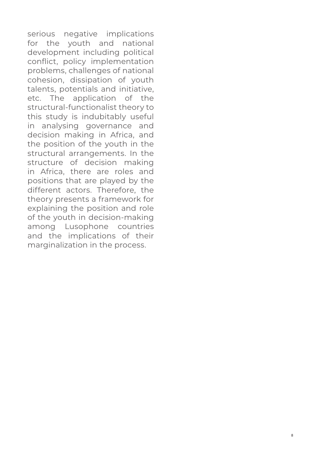serious negative implications for the youth and national development including political conflict, policy implementation problems, challenges of national cohesion, dissipation of youth talents, potentials and initiative, etc. The application of the structural-functionalist theory to this study is indubitably useful in analysing governance and decision making in Africa, and the position of the youth in the structural arrangements. In the structure of decision making in Africa, there are roles and positions that are played by the different actors. Therefore, the theory presents a framework for explaining the position and role of the youth in decision-making among Lusophone countries and the implications of their marginalization in the process.

8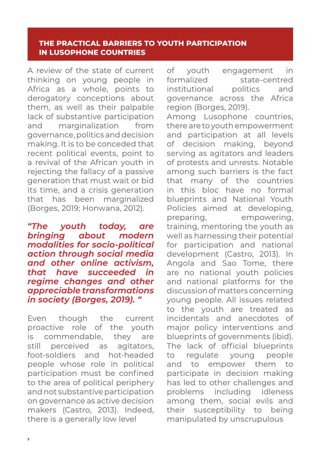#### **THE PRACTICAL BARRIERS TO YOUTH PARTICIPATION IN LUSOPHONE COUNTRIES**

A review of the state of current thinking on young people in Africa as a whole, points to derogatory conceptions about them, as well as their palpable lack of substantive participation and marginalization from governance, politics and decision making. It is to be conceded that recent political events, point to a revival of the African youth in rejecting the fallacy of a passive generation that must wait or bid its time, and a crisis generation that has been marginalized (Borges, 2019; Honwana, 2012).

*"The youth today, are bringing about modern modalities for socio-political action through social media and other online activism, that have succeeded in regime changes and other appreciable transformations in society (Borges, 2019). "*

Even though the current proactive role of the youth is commendable, they are still perceived as agitators, foot-soldiers and hot-headed people whose role in political participation must be confined to the area of political periphery and not substantive participation on governance as active decision makers (Castro, 2013). Indeed, there is a generally low level

of youth engagement in formalized state-centred institutional politics and governance across the Africa region (Borges, 2019). Among Lusophone countries, there are to youth empowerment and participation at all levels of decision making, beyond serving as agitators and leaders of protests and unrests. Notable among such barriers is the fact that many of the countries in this bloc have no formal blueprints and National Youth Policies aimed at developing, preparing, empowering, training, mentoring the youth as well as harnessing their potential for participation and national development (Castro, 2013). In Angola and Sao Tome, there are no national youth policies and national platforms for the discussion of matters concerning young people. All issues related to the youth are treated as incidentals and anecdotes of major policy interventions and blueprints of governments (ibid). The lack of official blueprints to regulate young people and to empower them to participate in decision making has led to other challenges and problems including idleness among them, social evils and their susceptibility to being manipulated by unscrupulous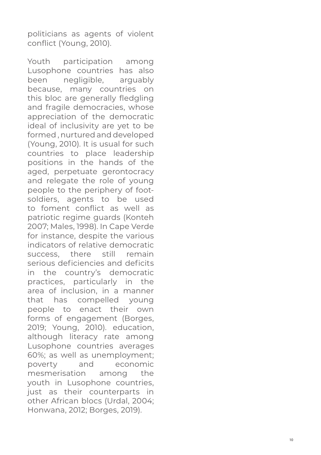politicians as agents of violent conflict (Young, 2010).

Youth participation among Lusophone countries has also been negligible, arguably because, many countries on this bloc are generally fledgling and fragile democracies, whose appreciation of the democratic ideal of inclusivity are yet to be formed , nurtured and developed (Young, 2010). It is usual for such countries to place leadership positions in the hands of the aged, perpetuate gerontocracy and relegate the role of young people to the periphery of footsoldiers, agents to be used to foment conflict as well as patriotic regime guards (Konteh 2007; Males, 1998). In Cape Verde for instance, despite the various indicators of relative democratic success there still remain serious deficiencies and deficits in the country's democratic practices, particularly in the area of inclusion, in a manner that has compelled young people to enact their own forms of engagement (Borges, 2019; Young, 2010). education, although literacy rate among Lusophone countries averages 60%; as well as unemployment; poverty and economic mesmerisation among the youth in Lusophone countries, just as their counterparts in other African blocs (Urdal, 2004; Honwana, 2012; Borges, 2019).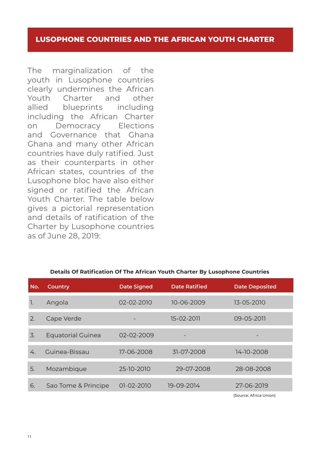#### **LUSOPHONE COUNTRIES AND THE AFRICAN YOUTH CHARTER**

The marginalization of the youth in Lusophone countries clearly undermines the African Youth Charter and other allied blueprints including including the African Charter on Democracy Elections and Governance that Ghana Ghana and many other African countries have duly ratified. Just as their counterparts in other African states, countries of the Lusophone bloc have also either signed or ratified the African Youth Charter. The table below gives a pictorial representation and details of ratification of the Charter by Lusophone countries as of June 28, 2019:

#### **Details Of Ratification Of The African Youth Charter By Lusophone Countries**

| No. | Country                  | <b>Date Signed</b> | <b>Date Ratified</b> | <b>Date Deposited</b>  |
|-----|--------------------------|--------------------|----------------------|------------------------|
| T.  | Angola                   | 02-02-2010         | 10-06-2009           | 13-05-2010             |
| 2.  | Cape Verde               |                    | 15-02-2011           | 09-05-2011             |
| 3.  | <b>Equatorial Guinea</b> | 02-02-2009         | -                    |                        |
| 4.  | Guinea-Bissau            | 17-06-2008         | 31-07-2008           | 14-10-2008             |
| 5.  | Mozambique               | 25-10-2010         | 29-07-2008           | 28-08-2008             |
| 6.  | Sao Tome & Principe      | $01-02-2010$       | 19-09-2014           | 27-06-2019             |
|     |                          |                    |                      | (Source: Africa Union) |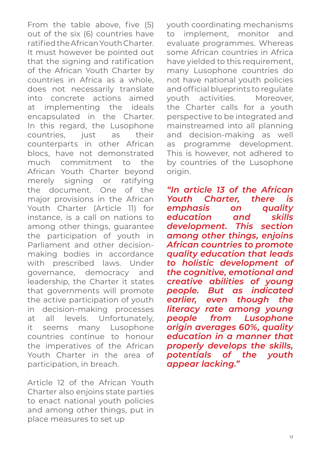From the table above, five (5) out of the six (6) countries have ratified the African Youth Charter. It must however be pointed out that the signing and ratification of the African Youth Charter by countries in Africa as a whole, does not necessarily translate into concrete actions aimed at implementing the ideals encapsulated in the Charter. In this regard, the Lusophone countries, just as their counterparts in other African blocs, have not demonstrated much commitment to the African Youth Charter beyond merely signing or ratifying the document. One of the major provisions in the African Youth Charter (Article 11) for instance, is a call on nations to among other things, guarantee the participation of youth in Parliament and other decisionmaking bodies in accordance with prescribed laws. Under governance, democracy and leadership, the Charter it states that governments will promote the active participation of youth in decision-making processes at all levels. Unfortunately, it seems many Lusophone countries continue to honour the imperatives of the African Youth Charter in the area of participation, in breach.

Article 12 of the African Youth Charter also enjoins state parties to enact national youth policies and among other things, put in place measures to set up

youth coordinating mechanisms to implement, monitor and evaluate programmes. Whereas some African countries in Africa have vielded to this requirement. many Lusophone countries do not have national youth policies and official blueprints to regulate youth activities. Moreover, the Charter calls for a youth perspective to be integrated and mainstreamed into all planning and decision-making as well as programme development. This is however, not adhered to by countries of the Lusophone origin.

*"In article 13 of the African Youth Charter, there is emphasis on quality education and skills development. This section among other things, enjoins African countries to promote quality education that leads to holistic development of the cognitive, emotional and creative abilities of young people. But as indicated earlier, even though the literacy rate among young people from Lusophone origin averages 60%, quality education in a manner that properly develops the skills, potentials of the youth appear lacking."*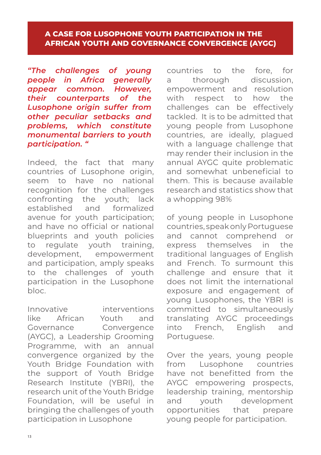#### **A CASE FOR LUSOPHONE YOUTH PARTICIPATION IN THE AFRICAN YOUTH AND GOVERNANCE CONVERGENCE (AYGC)**

*"The challenges of young people in Africa generally appear common. However, their counterparts of the Lusophone origin suffer from other peculiar setbacks and problems, which constitute monumental barriers to youth participation. "*

Indeed, the fact that many countries of Lusophone origin. seem to have no national recognition for the challenges confronting the youth; lack established and formalized avenue for youth participation; and have no official or national blueprints and youth policies to regulate youth training, development, empowerment and participation, amply speaks to the challenges of youth participation in the Lusophone bloc.

Innovative interventions like African Youth and Governance Convergence (AYGC), a Leadership Grooming Programme, with an annual convergence organized by the Youth Bridge Foundation with the support of Youth Bridge Research Institute (YBRI), the research unit of the Youth Bridge Foundation, will be useful in bringing the challenges of youth participation in Lusophone

countries to the fore, for a thorough discussion, empowerment and resolution with respect to how the challenges can be effectively tackled. It is to be admitted that young people from Lusophone countries, are ideally, plagued with a language challenge that may render their inclusion in the annual AYGC quite problematic and somewhat unbeneficial to them. This is because available research and statistics show that a whopping 98%

of young people in Lusophone countries, speak only Portuguese and cannot comprehend or express themselves in the traditional languages of English and French. To surmount this challenge and ensure that it does not limit the international exposure and engagement of young Lusophones, the YBRI is committed to simultaneously translating AYGC proceedings into French, English and Portuguese.

Over the years, young people from Lusophone countries have not benefitted from the AYGC empowering prospects, leadership training, mentorship<br>and vouth development vouth development opportunities that prepare young people for participation.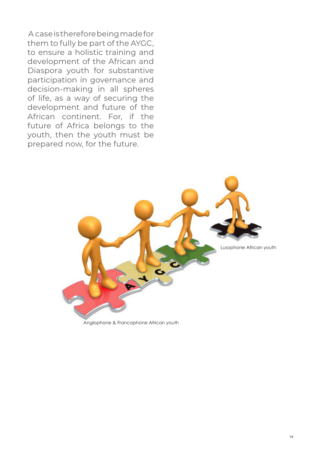A case is therefore being made for them to fully be part of the AYGC, to ensure a holistic training and development of the African and Diaspora youth for substantive participation in governance and decision-making in all spheres of life, as a way of securing the development and future of the African continent. For, if the future of Africa belongs to the youth, then the youth must be prepared now, for the future.

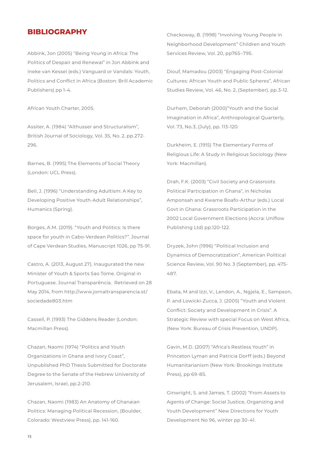#### **BIBLIOGRAPHY**

Abbink, Jon (2005) "Being Young in Africa: The Politics of Despair and Renewal" in Jon Abbink and Ineke van Kessel (eds.) Vanguard or Vandals: Youth, Politics and Conflict in Africa (Boston: Brill Academic Publishers) pp 1-4.

African Youth Charter, 2005.

Assiter, A. (1984) "Althusser and Structuralism", British Journal of Sociology, Vol. 35, No. 2, pp.272- 296.

Barnes, B. (1995) The Elements of Social Theory (London: UCL Press).

Bell, J. (1996) "Understanding Adultism: A Key to Developing Positive Youth-Adult Relationships", Humanics (Spring).

Borges, A.M. (2019). "Youth and Politics: Is there space for youth in Cabo-Verdean Politics?". Journal of Cape Verdean Studies, Manuscript 1026, pp 75-91.

Castro, A. (2013, August 27). Inaugurated the new Minister of Youth & Sports Sao Tome. Original in Portuguese. Journal Transparência. Retrieved on 28 May 2014, from http://www.jornaltransparencia.st/ sociedade803.htm

Cassell, P. (1993) The Giddens Reader (London: Macmillan Press).

Chazan, Naomi (1974) "Politics and Youth Organizations in Ghana and Ivory Coast", Unpublished PhD Thesis Submitted for Doctorate Degree to the Senate of the Hebrew University of Jerusalem, Israel, pp.2-210.

Chazan, Naomi (1983) An Anatomy of Ghanaian Politics: Managing Political Recession, (Boulder, Colorado: Westview Press), pp. 141-160.

Checkoway, B. (1998) "Involving Young People in Neighborhood Development" Children and Youth Services Review, Vol. 20, pp765–795.

Diouf, Mamadou (2003) "Engaging Post-Colonial Cultures: African Youth and Public Spheres", African Studies Review, Vol. 46, No. 2, (September), pp.3-12.

Durham, Deborah (2000)"Youth and the Social Imagination in Africa", Anthropological Quarterly, Vol. 73, No.3, (July), pp. 113-120.

Durkheim, E. (1915) The Elementary Forms of Religious Life: A Study in Religious Sociology (New York: Macmillan).

Drah, F.K. (2003) "Civil Society and Grassroots Political Participation in Ghana", in Nicholas Amponsah and Kwame Boafo-Arthur (eds.) Local Govt in Ghana: Grassroots Participation in the 2002 Local Government Elections (Accra: Uniflow Publishing Ltd) pp.120-122.

Dryzek, John (1996) "Political Inclusion and Dynamics of Democratization", American Political Science Review, Vol. 90 No. 3 (September), pp. 475- 487.

Ebata, M and Izzi, V., Lendon, A., Ngjela, E., Sampson, P. and Lowicki-Zucca, J. (2005) "Youth and Violent Conflict: Society and Development in Crisis". A Strategic Review with special Focus on West Africa, (New York: Bureau of Crisis Prevention, UNDP).

Gavin, M.D. (2007) "Africa's Restless Youth" in Princeton Lyman and Patricia Dorff (eds.) Beyond Humanitarianism (New York: Brookings Institute Press), pp 69-85.

Ginwright, S. and James, T. (2002) "From Assets to Agents of Change: Social Justice, Organizing and Youth Development" New Directions for Youth Development No 96, winter pp 30-41.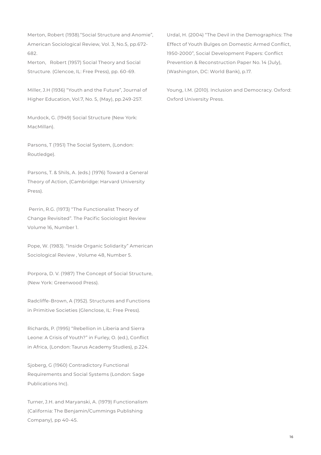Merton, Robert (1938)."Social Structure and Anomie", American Sociological Review, Vol. 3, No.5, pp.672- 682.

Merton, Robert (1957) Social Theory and Social Structure. (Glencoe, IL: Free Press), pp. 60-69.

Miller, J.H (1936) "Youth and the Future", Journal of Higher Education, Vol.7, No. 5, (May), pp.249-257.

Murdock, G. (1949) Social Structure (New York: MacMillan).

Parsons, T (1951) The Social System, (London: Routledge).

Parsons, T. & Shils, A. (eds.) (1976) Toward a General Theory of Action, (Cambridge: Harvard University Press).

 Perrin, R.G. (1973) "The Functionalist Theory of Change Revisited". The Pacific Sociologist Review Volume 16, Number 1.

Pope, W. (1983). "Inside Organic Solidarity" American Sociological Review , Volume 48, Number 5.

Porpora, D. V. (1987) The Concept of Social Structure, (New York: Greenwood Press).

Radcliffe-Brown, A (1952). Structures and Functions in Primitive Societies (Glenclose, IL: Free Press).

Richards, P. (1995) "Rebellion in Liberia and Sierra Leone: A Crisis of Youth?" in Furley, O. (ed.), Conflict in Africa, (London: Taurus Academy Studies), p.224.

Sjoberg, G (1960) Contradictory Functional Requirements and Social Systems (London: Sage Publications Inc).

Turner, J.H. and Maryanski, A. (1979) Functionalism (California: The Benjamin/Cummings Publishing Company), pp 40-45.

Urdal, H. (2004) "The Devil in the Demographics: The Effect of Youth Bulges on Domestic Armed Conflict, 1950-2000", Social Development Papers: Conflict Prevention & Reconstruction Paper No. 14 (July), (Washington, DC: World Bank), p.17.

Young, I.M. (2010). Inclusion and Democracy. Oxford: Oxford University Press.